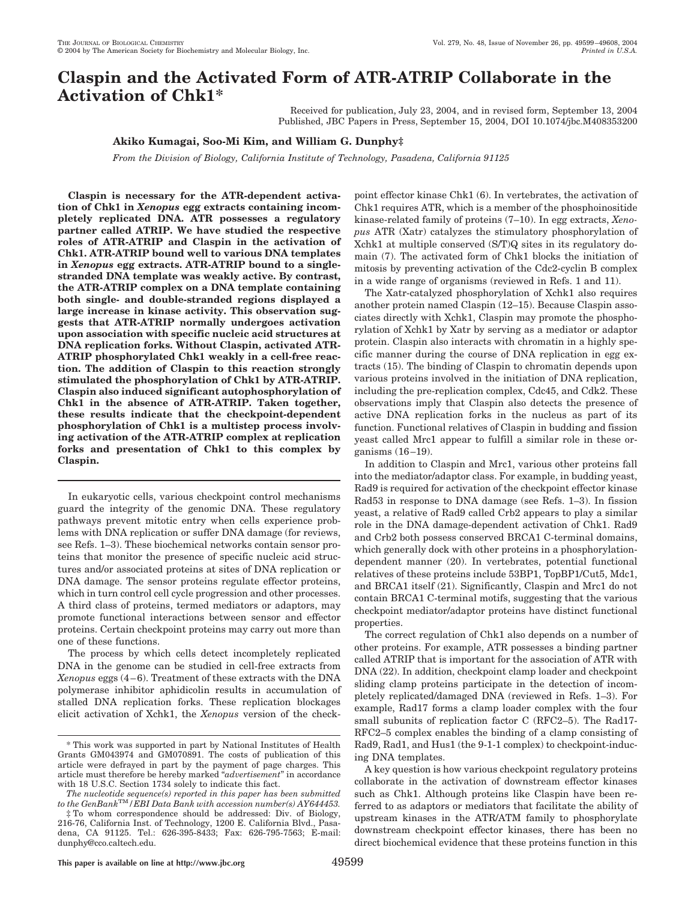# **Claspin and the Activated Form of ATR-ATRIP Collaborate in the Activation of Chk1\***

Received for publication, July 23, 2004, and in revised form, September 13, 2004 Published, JBC Papers in Press, September 15, 2004, DOI 10.1074/jbc.M408353200

## **Akiko Kumagai, Soo-Mi Kim, and William G. Dunphy‡**

*From the Division of Biology, California Institute of Technology, Pasadena, California 91125*

**Claspin is necessary for the ATR-dependent activation of Chk1 in** *Xenopus* **egg extracts containing incompletely replicated DNA. ATR possesses a regulatory partner called ATRIP. We have studied the respective roles of ATR-ATRIP and Claspin in the activation of Chk1. ATR-ATRIP bound well to various DNA templates in** *Xenopus* **egg extracts. ATR-ATRIP bound to a singlestranded DNA template was weakly active. By contrast, the ATR-ATRIP complex on a DNA template containing both single- and double-stranded regions displayed a large increase in kinase activity. This observation suggests that ATR-ATRIP normally undergoes activation upon association with specific nucleic acid structures at DNA replication forks. Without Claspin, activated ATR-ATRIP phosphorylated Chk1 weakly in a cell-free reaction. The addition of Claspin to this reaction strongly stimulated the phosphorylation of Chk1 by ATR-ATRIP. Claspin also induced significant autophosphorylation of Chk1 in the absence of ATR-ATRIP. Taken together, these results indicate that the checkpoint-dependent phosphorylation of Chk1 is a multistep process involving activation of the ATR-ATRIP complex at replication forks and presentation of Chk1 to this complex by Claspin.**

In eukaryotic cells, various checkpoint control mechanisms guard the integrity of the genomic DNA. These regulatory pathways prevent mitotic entry when cells experience problems with DNA replication or suffer DNA damage (for reviews, see Refs. 1–3). These biochemical networks contain sensor proteins that monitor the presence of specific nucleic acid structures and/or associated proteins at sites of DNA replication or DNA damage. The sensor proteins regulate effector proteins, which in turn control cell cycle progression and other processes. A third class of proteins, termed mediators or adaptors, may promote functional interactions between sensor and effector proteins. Certain checkpoint proteins may carry out more than one of these functions.

The process by which cells detect incompletely replicated DNA in the genome can be studied in cell-free extracts from  $Xenopus$  eggs  $(4-6)$ . Treatment of these extracts with the DNA polymerase inhibitor aphidicolin results in accumulation of stalled DNA replication forks. These replication blockages elicit activation of Xchk1, the *Xenopus* version of the checkpoint effector kinase Chk1 (6). In vertebrates, the activation of Chk1 requires ATR, which is a member of the phosphoinositide kinase-related family of proteins (7–10). In egg extracts, *Xenopus* ATR (Xatr) catalyzes the stimulatory phosphorylation of Xchk1 at multiple conserved (S/T)Q sites in its regulatory domain (7). The activated form of Chk1 blocks the initiation of mitosis by preventing activation of the Cdc2-cyclin B complex in a wide range of organisms (reviewed in Refs. 1 and 11).

The Xatr-catalyzed phosphorylation of Xchk1 also requires another protein named Claspin (12–15). Because Claspin associates directly with Xchk1, Claspin may promote the phosphorylation of Xchk1 by Xatr by serving as a mediator or adaptor protein. Claspin also interacts with chromatin in a highly specific manner during the course of DNA replication in egg extracts (15). The binding of Claspin to chromatin depends upon various proteins involved in the initiation of DNA replication, including the pre-replication complex, Cdc45, and Cdk2. These observations imply that Claspin also detects the presence of active DNA replication forks in the nucleus as part of its function. Functional relatives of Claspin in budding and fission yeast called Mrc1 appear to fulfill a similar role in these organisms  $(16-19)$ .

In addition to Claspin and Mrc1, various other proteins fall into the mediator/adaptor class. For example, in budding yeast, Rad9 is required for activation of the checkpoint effector kinase Rad53 in response to DNA damage (see Refs. 1–3). In fission yeast, a relative of Rad9 called Crb2 appears to play a similar role in the DNA damage-dependent activation of Chk1. Rad9 and Crb2 both possess conserved BRCA1 C-terminal domains, which generally dock with other proteins in a phosphorylationdependent manner (20). In vertebrates, potential functional relatives of these proteins include 53BP1, TopBP1/Cut5, Mdc1, and BRCA1 itself (21). Significantly, Claspin and Mrc1 do not contain BRCA1 C-terminal motifs, suggesting that the various checkpoint mediator/adaptor proteins have distinct functional properties.

The correct regulation of Chk1 also depends on a number of other proteins. For example, ATR possesses a binding partner called ATRIP that is important for the association of ATR with DNA (22). In addition, checkpoint clamp loader and checkpoint sliding clamp proteins participate in the detection of incompletely replicated/damaged DNA (reviewed in Refs. 1–3). For example, Rad17 forms a clamp loader complex with the four small subunits of replication factor C (RFC2–5). The Rad17- RFC2–5 complex enables the binding of a clamp consisting of Rad9, Rad1, and Hus1 (the 9-1-1 complex) to checkpoint-inducing DNA templates.

A key question is how various checkpoint regulatory proteins collaborate in the activation of downstream effector kinases such as Chk1. Although proteins like Claspin have been referred to as adaptors or mediators that facilitate the ability of upstream kinases in the ATR/ATM family to phosphorylate downstream checkpoint effector kinases, there has been no direct biochemical evidence that these proteins function in this

<sup>\*</sup> This work was supported in part by National Institutes of Health Grants GM043974 and GM070891. The costs of publication of this article were defrayed in part by the payment of page charges. This article must therefore be hereby marked "*advertisement*" in accordance with 18 U.S.C. Section 1734 solely to indicate this fact.

*The nucleotide sequence(s) reported in this paper has been submitted to the GenBank*TM*/EBI Data Bank with accession number(s) AY644453.*

<sup>‡</sup> To whom correspondence should be addressed: Div. of Biology, 216-76, California Inst. of Technology, 1200 E. California Blvd., Pasadena, CA 91125. Tel.: 626-395-8433; Fax: 626-795-7563; E-mail: dunphy@cco.caltech.edu.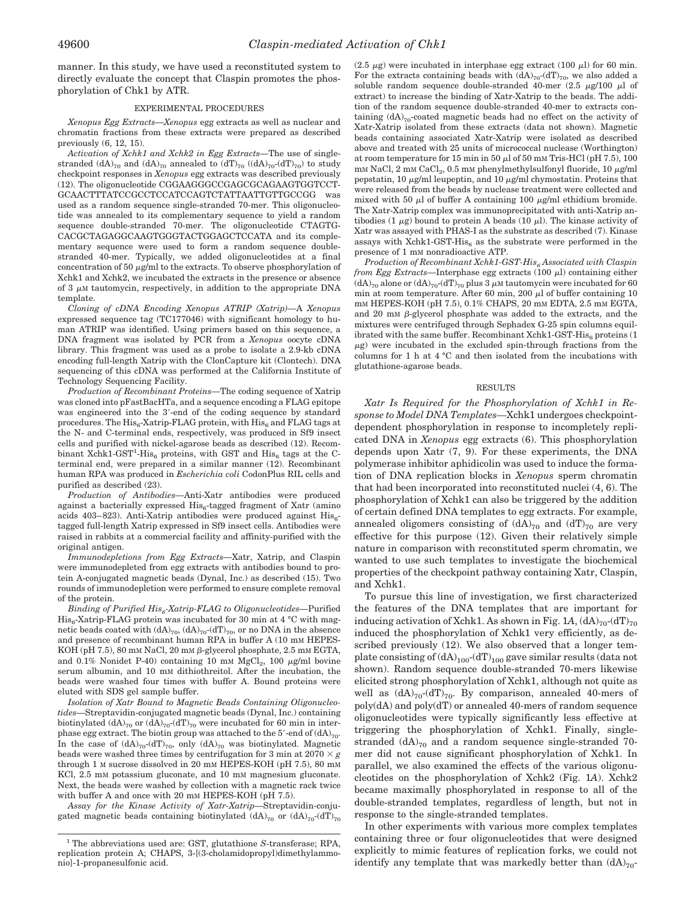manner. In this study, we have used a reconstituted system to directly evaluate the concept that Claspin promotes the phosphorylation of Chk1 by ATR.

### EXPERIMENTAL PROCEDURES

*Xenopus Egg Extracts—Xenopus* egg extracts as well as nuclear and chromatin fractions from these extracts were prepared as described previously (6, 12, 15).

*Activation of Xchk1 and Xchk2 in Egg Extracts—*The use of singlestranded (dA)<sub>70</sub> and (dA)<sub>70</sub> annealed to (dT)<sub>70</sub> ((dA)<sub>70</sub>-(dT)<sub>70</sub>) to study checkpoint responses in *Xenopus* egg extracts was described previously (12). The oligonucleotide CGGAAGGGCCGAGCGCAGAAGTGGTCCT-GCAACTTTATCCGCCTCCATCCAGTCTATTAATTGTTGCCGG was used as a random sequence single-stranded 70-mer. This oligonucleotide was annealed to its complementary sequence to yield a random sequence double-stranded 70-mer. The oligonucleotide CTAGTG-CACGCTAGAGGCAAGTGGGTACTGGAGCTCCATA and its complementary sequence were used to form a random sequence doublestranded 40-mer. Typically, we added oligonucleotides at a final concentration of 50  $\mu$ g/ml to the extracts. To observe phosphorylation of Xchk1 and Xchk2, we incubated the extracts in the presence or absence of  $3 \mu$ M tautomycin, respectively, in addition to the appropriate DNA template.

*Cloning of cDNA Encoding Xenopus ATRIP (Xatrip)—*A *Xenopus* expressed sequence tag (TC177046) with significant homology to human ATRIP was identified. Using primers based on this sequence, a DNA fragment was isolated by PCR from a *Xenopus* oocyte cDNA library. This fragment was used as a probe to isolate a 2.9-kb cDNA encoding full-length Xatrip with the ClonCapture kit (Clontech). DNA sequencing of this cDNA was performed at the California Institute of Technology Sequencing Facility.

*Production of Recombinant Proteins—*The coding sequence of Xatrip was cloned into pFastBacHTa, and a sequence encoding a FLAG epitope was engineered into the 3'-end of the coding sequence by standard procedures. The  $His<sub>6</sub>$ -Xatrip-FLAG protein, with  $His<sub>6</sub>$  and FLAG tags at the N- and C-terminal ends, respectively, was produced in Sf9 insect cells and purified with nickel-agarose beads as described (12). Recombinant Xchk1-GST<sup>1</sup>-His<sub>6</sub> proteins, with GST and His<sub>6</sub> tags at the Cterminal end, were prepared in a similar manner (12). Recombinant human RPA was produced in *Escherichia coli* CodonPlus RIL cells and purified as described (23).

*Production of Antibodies—*Anti-Xatr antibodies were produced against a bacterially expressed His<sub>6</sub>-tagged fragment of Xatr (amino acids 403–823). Anti-Xatrip antibodies were produced against  $His<sub>6</sub>$ tagged full-length Xatrip expressed in Sf9 insect cells. Antibodies were raised in rabbits at a commercial facility and affinity-purified with the original antigen.

*Immunodepletions from Egg Extracts—*Xatr, Xatrip, and Claspin were immunodepleted from egg extracts with antibodies bound to protein A-conjugated magnetic beads (Dynal, Inc.) as described (15). Two rounds of immunodepletion were performed to ensure complete removal of the protein.

*Binding of Purified His6-Xatrip-FLAG to Oligonucleotides—*Purified  $His<sub>6</sub>$ -Xatrip-FLAG protein was incubated for 30 min at 4 °C with magnetic beads coated with  $(dA)_{70}$ ,  $(dA)_{70}$ - $(dT)_{70}$ , or no DNA in the absence and presence of recombinant human RPA in buffer A (10 mm HEPES-KOH (pH 7.5), 80 mm NaCl, 20 mm  $\beta$ -glycerol phosphate, 2.5 mm EGTA, and 0.1% Nonidet P-40) containing 10 mm MgCl<sub>2</sub>, 100  $\mu$ g/ml bovine serum albumin, and 10 mM dithiothreitol. After the incubation, the beads were washed four times with buffer A. Bound proteins were eluted with SDS gel sample buffer.

*Isolation of Xatr Bound to Magnetic Beads Containing Oligonucleotides—*Streptavidin-conjugated magnetic beads (Dynal, Inc.) containing biotinylated  $(dA)_{70}$  or  $(dA)_{70}$ - $(dT)_{70}$  were incubated for 60 min in interphase egg extract. The biotin group was attached to the 5'-end of  $(dA)_{70}$ . In the case of  $(dA)_{70}$ - $(dT)_{70}$ , only  $(dA)_{70}$  was biotinylated. Magnetic beads were washed three times by centrifugation for 3 min at  $2070 \times g$ through 1 M sucrose dissolved in 20 mM HEPES-KOH (pH 7.5), 80 mM KCl, 2.5 mM potassium gluconate, and 10 mM magnesium gluconate. Next, the beads were washed by collection with a magnetic rack twice with buffer A and once with 20 mm HEPES-KOH (pH 7.5).

*Assay for the Kinase Activity of Xatr-Xatrip—*Streptavidin-conjugated magnetic beads containing biotinylated  $(dA)_{70}$  or  $(dA)_{70}$ - $(dT)_{70}$  (2.5  $\mu$ g) were incubated in interphase egg extract (100  $\mu$ l) for 60 min. For the extracts containing beads with  $(dA)_{70}$ - $(dT)_{70}$ , we also added a soluble random sequence double-stranded 40-mer  $(2.5 \mu g/100 \mu l)$  of extract) to increase the binding of Xatr-Xatrip to the beads. The addition of the random sequence double-stranded 40-mer to extracts containing  $(dA)_{70}$ -coated magnetic beads had no effect on the activity of Xatr-Xatrip isolated from these extracts (data not shown). Magnetic beads containing associated Xatr-Xatrip were isolated as described above and treated with 25 units of micrococcal nuclease (Worthington) at room temperature for 15 min in 50  $\mu$ l of 50 mM Tris-HCl (pH 7.5), 100 mm NaCl,  $2 \text{ mm } \text{CaCl}_2$ ,  $0.5 \text{ mm }$  phenylmethylsulfonyl fluoride,  $10 \mu\text{g/ml}$ pepstatin, 10  $\mu$ g/ml leupeptin, and 10  $\mu$ g/ml chymostatin. Proteins that were released from the beads by nuclease treatment were collected and mixed with 50  $\mu$ l of buffer A containing 100  $\mu$ g/ml ethidium bromide. The Xatr-Xatrip complex was immunoprecipitated with anti-Xatrip antibodies (1  $\mu$ g) bound to protein A beads (10  $\mu$ l). The kinase activity of Xatr was assayed with PHAS-I as the substrate as described (7). Kinase assays with Xchk1-GST-His $_6$  as the substrate were performed in the presence of 1 mM nonradioactive ATP.

*Production of Recombinant Xchk1-GST-His6 Associated with Claspin from Egg Extracts*—Interphase egg extracts  $(100 \mu l)$  containing either  $(dA)_{70}$  alone or  $(dA)_{70}$ - $(dT)_{70}$  plus 3  $\mu$ M tautomycin were incubated for 60 min at room temperature. After 60 min, 200  $\mu$ l of buffer containing 10 mM HEPES-KOH (pH 7.5), 0.1% CHAPS, 20 mM EDTA, 2.5 mM EGTA, and 20 mm  $\beta$ -glycerol phosphate was added to the extracts, and the mixtures were centrifuged through Sephadex G-25 spin columns equilibrated with the same buffer. Recombinant Xchk1-GST-His $_6$  proteins (1  $\mu$ g) were incubated in the excluded spin-through fractions from the columns for 1 h at 4 °C and then isolated from the incubations with glutathione-agarose beads.

### RESULTS

*Xatr Is Required for the Phosphorylation of Xchk1 in Response to Model DNA Templates—*Xchk1 undergoes checkpointdependent phosphorylation in response to incompletely replicated DNA in *Xenopus* egg extracts (6). This phosphorylation depends upon Xatr (7, 9). For these experiments, the DNA polymerase inhibitor aphidicolin was used to induce the formation of DNA replication blocks in *Xenopus* sperm chromatin that had been incorporated into reconstituted nuclei (4, 6). The phosphorylation of Xchk1 can also be triggered by the addition of certain defined DNA templates to egg extracts. For example, annealed oligomers consisting of  $(dA)_{70}$  and  $(dT)_{70}$  are very effective for this purpose (12). Given their relatively simple nature in comparison with reconstituted sperm chromatin, we wanted to use such templates to investigate the biochemical properties of the checkpoint pathway containing Xatr, Claspin, and Xchk1.

To pursue this line of investigation, we first characterized the features of the DNA templates that are important for inducing activation of Xchk1. As shown in Fig. 1A,  $(dA)_{70}$ - $(dT)_{70}$ induced the phosphorylation of Xchk1 very efficiently, as described previously (12). We also observed that a longer template consisting of  $(dA)_{100}$ - $(dT)_{100}$  gave similar results (data not shown). Random sequence double-stranded 70-mers likewise elicited strong phosphorylation of Xchk1, although not quite as well as  $(dA)_{70}$ - $(dT)_{70}$ . By comparison, annealed 40-mers of poly(dA) and poly(dT) or annealed 40-mers of random sequence oligonucleotides were typically significantly less effective at triggering the phosphorylation of Xchk1. Finally, singlestranded  $(dA)_{70}$  and a random sequence single-stranded 70mer did not cause significant phosphorylation of Xchk1. In parallel, we also examined the effects of the various oligonucleotides on the phosphorylation of Xchk2 (Fig. 1*A*). Xchk2 became maximally phosphorylated in response to all of the double-stranded templates, regardless of length, but not in response to the single-stranded templates.

In other experiments with various more complex templates containing three or four oligonucleotides that were designed explicitly to mimic features of replication forks, we could not identify any template that was markedly better than  $(dA)_{70}$ -

<sup>1</sup> The abbreviations used are: GST, glutathione *S*-transferase; RPA, replication protein A; CHAPS, 3-[(3-cholamidopropyl)dimethylammonio]-1-propanesulfonic acid.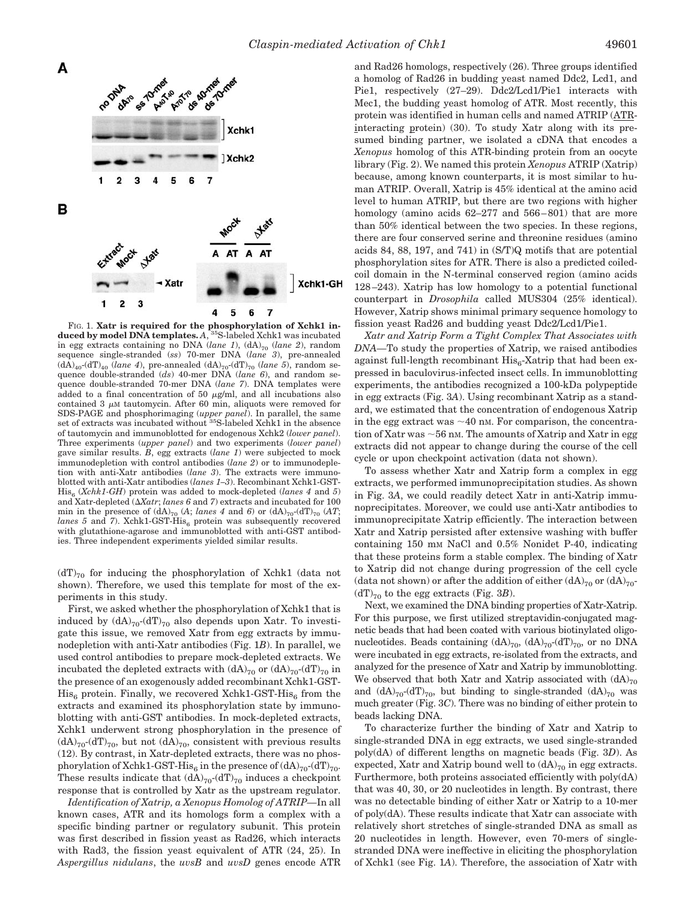

FIG. 1. **Xatr is required for the phosphorylation of Xchk1 in-duced by model DNA templates.** *A*, 35S-labeled Xchk1 was incubated in egg extracts containing no DNA (*lane 1*), (dA)<sub>70</sub> (*lane 2*), random sequence single-stranded (*ss*) 70-mer DNA (*lane 3*), pre-annealed  $(dA)_{40}$ <sup>-</sup>(dT)<sub>40</sub> (*lane 4*), pre-annealed  $(dA)_{70}$ <sup>-</sup>(dT)<sub>70</sub> (*lane 5*), random sequence double-stranded (*ds*) 40-mer DNA (*lane 6*), and random sequence double-stranded 70-mer DNA (*lane 7*). DNA templates were added to a final concentration of 50  $\mu$ g/ml, and all incubations also contained  $3 \mu M$  tautomycin. After 60 min, aliquots were removed for SDS-PAGE and phosphorimaging (*upper panel*). In parallel, the same set of extracts was incubated without 35S-labeled Xchk1 in the absence of tautomycin and immunoblotted for endogenous Xchk2 (*lower panel*). Three experiments (*upper panel*) and two experiments (*lower panel*) gave similar results. *B*, egg extracts (*lane 1*) were subjected to mock immunodepletion with control antibodies (*lane 2*) or to immunodepletion with anti-Xatr antibodies (*lane 3*). The extracts were immunoblotted with anti-Xatr antibodies (*lanes 1–3*). Recombinant Xchk1-GST- $His<sub>6</sub>$  (*Xchk1-GH*) protein was added to mock-depleted (*lanes 4* and 5) and Xatr-depleted (*Xatr*; *lanes 6* and *7*) extracts and incubated for 100 min in the presence of  $(dA)_{70}$   $(A)$ ; *lanes* 4 and 6) or  $(dA)_{70}$ - $(dT)_{70}$   $(AT)$ ; *lanes 5* and 7). Xchk1-GST-His<sub>6</sub> protein was subsequently recovered with glutathione-agarose and immunoblotted with anti-GST antibodies. Three independent experiments yielded similar results.

 $(dT)_{70}$  for inducing the phosphorylation of Xchk1 (data not shown). Therefore, we used this template for most of the experiments in this study.

First, we asked whether the phosphorylation of Xchk1 that is induced by  $(dA)_{70}$ - $(dT)_{70}$  also depends upon Xatr. To investigate this issue, we removed Xatr from egg extracts by immunodepletion with anti-Xatr antibodies (Fig. 1*B*). In parallel, we used control antibodies to prepare mock-depleted extracts. We incubated the depleted extracts with  $(dA)_{70}$  or  $(dA)_{70}$ - $(dT)_{70}$  in the presence of an exogenously added recombinant Xchk1-GST- $His<sub>6</sub> protein. Finally, we recovered Xchk1-GST-His<sub>6</sub> from the$ extracts and examined its phosphorylation state by immunoblotting with anti-GST antibodies. In mock-depleted extracts, Xchk1 underwent strong phosphorylation in the presence of  $(dA)_{70}$ - $(dT)_{70}$ , but not  $(dA)_{70}$ , consistent with previous results (12). By contrast, in Xatr-depleted extracts, there was no phosphorylation of Xchk1-GST-His<sub>6</sub> in the presence of  $(dA)_{70}$ - $(dT)_{70}$ . These results indicate that  $(dA)_{70}$ - $(dT)_{70}$  induces a checkpoint response that is controlled by Xatr as the upstream regulator.

*Identification of Xatrip, a Xenopus Homolog of ATRIP—*In all known cases, ATR and its homologs form a complex with a specific binding partner or regulatory subunit. This protein was first described in fission yeast as Rad26, which interacts with Rad3, the fission yeast equivalent of ATR (24, 25). In *Aspergillus nidulans*, the *uvsB* and *uvsD* genes encode ATR and Rad26 homologs, respectively (26). Three groups identified a homolog of Rad26 in budding yeast named Ddc2, Lcd1, and Pie1, respectively (27–29). Ddc2/Lcd1/Pie1 interacts with Mec1, the budding yeast homolog of ATR. Most recently, this protein was identified in human cells and named ATRIP (ATRinteracting protein) (30). To study Xatr along with its presumed binding partner, we isolated a cDNA that encodes a *Xenopus* homolog of this ATR-binding protein from an oocyte library (Fig. 2). We named this protein *Xenopus* ATRIP (Xatrip) because, among known counterparts, it is most similar to human ATRIP. Overall, Xatrip is 45% identical at the amino acid level to human ATRIP, but there are two regions with higher homology (amino acids  $62-277$  and  $566-801$ ) that are more than 50% identical between the two species. In these regions, there are four conserved serine and threonine residues (amino acids 84, 88, 197, and 741) in (S/T)Q motifs that are potential phosphorylation sites for ATR. There is also a predicted coiledcoil domain in the N-terminal conserved region (amino acids 128 –243). Xatrip has low homology to a potential functional counterpart in *Drosophila* called MUS304 (25% identical). However, Xatrip shows minimal primary sequence homology to fission yeast Rad26 and budding yeast Ddc2/Lcd1/Pie1.

*Xatr and Xatrip Form a Tight Complex That Associates with DNA—*To study the properties of Xatrip, we raised antibodies against full-length recombinant  $His<sub>6</sub>-Xatrip$  that had been expressed in baculovirus-infected insect cells. In immunoblotting experiments, the antibodies recognized a 100-kDa polypeptide in egg extracts (Fig. 3*A*). Using recombinant Xatrip as a standard, we estimated that the concentration of endogenous Xatrip in the egg extract was  $\sim$  40 nm. For comparison, the concentration of Xatr was  $\sim$  56 nm. The amounts of Xatrip and Xatr in egg extracts did not appear to change during the course of the cell cycle or upon checkpoint activation (data not shown).

To assess whether Xatr and Xatrip form a complex in egg extracts, we performed immunoprecipitation studies. As shown in Fig. 3*A*, we could readily detect Xatr in anti-Xatrip immunoprecipitates. Moreover, we could use anti-Xatr antibodies to immunoprecipitate Xatrip efficiently. The interaction between Xatr and Xatrip persisted after extensive washing with buffer containing 150 mM NaCl and 0.5% Nonidet P-40, indicating that these proteins form a stable complex. The binding of Xatr to Xatrip did not change during progression of the cell cycle (data not shown) or after the addition of either  $(dA)_{70}$  or  $(dA)_{70}$ - $(dT)_{70}$  to the egg extracts (Fig. 3*B*).

Next, we examined the DNA binding properties of Xatr-Xatrip. For this purpose, we first utilized streptavidin-conjugated magnetic beads that had been coated with various biotinylated oligonucleotides. Beads containing  $(dA)_{70}$ ,  $(dA)_{70}$ - $(dT)_{70}$ , or no DNA were incubated in egg extracts, re-isolated from the extracts, and analyzed for the presence of Xatr and Xatrip by immunoblotting. We observed that both Xatr and Xatrip associated with  $(dA)_{70}$ and  $(dA)_{70}$ - $(dT)_{70}$ , but binding to single-stranded  $(dA)_{70}$  was much greater (Fig. 3*C*). There was no binding of either protein to beads lacking DNA.

To characterize further the binding of Xatr and Xatrip to single-stranded DNA in egg extracts, we used single-stranded poly(dA) of different lengths on magnetic beads (Fig. 3*D*). As expected, Xatr and Xatrip bound well to  $(dA)_{70}$  in egg extracts. Furthermore, both proteins associated efficiently with poly(dA) that was 40, 30, or 20 nucleotides in length. By contrast, there was no detectable binding of either Xatr or Xatrip to a 10-mer of poly(dA). These results indicate that Xatr can associate with relatively short stretches of single-stranded DNA as small as 20 nucleotides in length. However, even 70-mers of singlestranded DNA were ineffective in eliciting the phosphorylation of Xchk1 (see Fig. 1*A*). Therefore, the association of Xatr with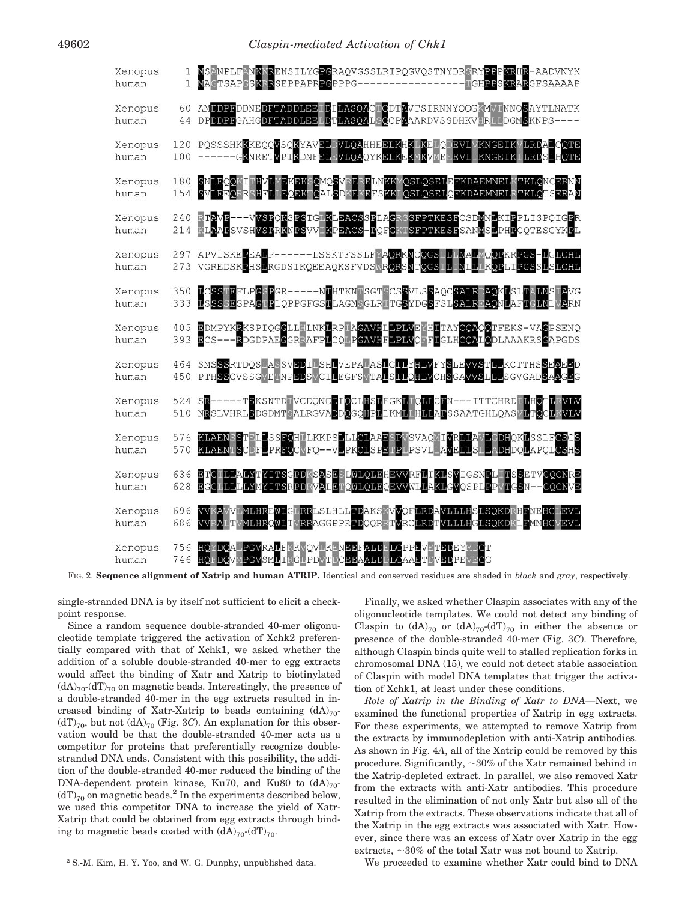| Xenopus<br>human | 1   | MSANPLFANKKRENSILYGPGRAQVGSSLRIPQGVQSTNYDRSRYPPPKRHR-AADVNYK<br>MACTSAPCSKRRSEPPAPRPCPPPG------------<br>TGHPPSKRARGFSAAAAP                                        |
|------------------|-----|--------------------------------------------------------------------------------------------------------------------------------------------------------------------|
| Xenopus<br>human | 60  | AMDDPFDDNEDFTADDLEEIDILASOACTODTAVTSIRNNYQQGKMVINNQSAYTLNATK<br>44 DPDDPFGAHGDFTADDLEELDTLASQALSOCPAAARDVSSDHKVHRLLDGMSKNPS----                                    |
| Xenopus<br>human | 100 | 120 POSSSHKKKEOOVSOKYAVELDVLOAHHEELKHKLKELODEVLVKNGEIKVLRDALCOTE<br>------GKNRETVPIKDNFELFVLQAQYKELKEKMKVMEEFVLIKNGEIKILRDSLHQTE                                   |
| Xenopus          | 180 | SNLEQQKITHVLMEKEKSQMQSVRERELNKKMQSLQSELEFKDAEMNELKTKLQNCERNN                                                                                                       |
| human            | 154 | SVLEEQRRSHFLLEQEKTQALSDKEKEFSKKLQSLQSELQFKDAEMNELRTKLQTSERAN                                                                                                       |
| Xenopus          | 240 | RTAVP---VVSPOKSPSTGIKLEACSSPLAGRSSFPTKESFCSDMNLKIPPLISPOIGPR                                                                                                       |
| human            | 214 | KLAAPSVSHVSPRKNPSVVIKPEACS-POFGKTSFPTKESFSANMSLPHPCOTESGYKPL                                                                                                       |
| Xenopus<br>human |     | 297 APVISKEPEALP------LSSKTFSSLFYAQRKNCQGSLLLMALMQQPKRPGS-LGLCHL<br>273 VGREDSKPHSLRGDSIKQEEAQKSFVDSWR <mark>QRSNTQGSTLTNLLTKQP</mark> LIPGSS <mark>L</mark> SLCHL |
| Xenopus          | 350 | LCSSTEFLPGSPGR-----NTHTKNTSGTSCSSVLSSAQCSALRDAQKLSLTALNSTAVG                                                                                                       |
| human            | 333 | LSSSSESPAGTPLQPPGFGSTLAGMSGLRTTGSYDGSFSLSALRFAQNLAFTGLNLVARN                                                                                                       |
| Xenopus          | 405 | EDMPYKRKSPIQGGLLHLNKLRPLAGAVHLLPLVEYHITAYCQAQQTFEKS-VAGPSENQ                                                                                                       |
| human            | 393 | ECS---RDGDPAEGGRRAFPLCQLPGAVHFLPLVQFFIGLHCQALQDLAAAKRSGAPGDS                                                                                                       |
| Xenopus<br>human | 464 | SMSSSRTDQSLASSVEDILSHLVEPALASLGILYHLVFYSLEVVSTLLKCTTHSSEAEED<br>450 PTHSSCVSSGVETNPEDSVCILEGFSVTALSILQHLVCHSGAVVSLLLSGVGADSAAGEG                                   |
| Xenopus<br>human | 524 | SR-----TSKSNTDTVCDQNCDIQCLHSLFGKLTQLLCFN---ITTCHRDTLHQTLRVLV<br>510 NRSLVHRLSDGDMTSALRGVADDQGQHPLLKMLLHLLAFSSAATGHLQASVLTQCLKVLV                                   |
| Xenopus          | 576 | KLAENSSTELLSSFOHLLKKPSLLLCLAAESPVSVAQMIVRLLAVLGDHQKLSSLFCSCS                                                                                                       |
| human            | 570 | KLAENTSCDFLPRFOCVFQ--VLPKCLSPETPLPSVLLAVELLSLLADHDQLAPQLCSHS                                                                                                       |
| Xenopus          | 636 | ETCILLALYTYITSGPDKSASESLWLQLEHEVVRFLTKLSVIGSNPLITSSETVCQCNRE                                                                                                       |
| human            | 628 | EGCLLLLLYMYITSRPDRVALEMOWLQLEOEVVWLLAKLGVOSPLPPVTGSN--COCNVE                                                                                                       |
| Xenopus          | 696 | VVKAVVLMLHREWLGLRRLSLHLLTDAKSKVVQFLRDAVLLLHSLSQKDRHFNEHCLEVL                                                                                                       |
| human            | 686 | VVRALTVMLHRQWLTVRRAGGPPRTDQQRRTVRCLRDTVLLLHGLSQKDKLFMMHCVEVL                                                                                                       |
| Xenopus          | 756 | HOYDOALPGVRALFKKVOVLKENEEFALDELCPPEVETEDEYMDCT                                                                                                                     |
| human            | 746 | HQFDQVMPGVSMLIRGLPDVTDCEEAALDDLCAAETDVEDPEVECG                                                                                                                     |

FIG. 2. **Sequence alignment of Xatrip and human ATRIP.** Identical and conserved residues are shaded in *black* and *gray*, respectively.

single-stranded DNA is by itself not sufficient to elicit a checkpoint response.

Since a random sequence double-stranded 40-mer oligonucleotide template triggered the activation of Xchk2 preferentially compared with that of Xchk1, we asked whether the addition of a soluble double-stranded 40-mer to egg extracts would affect the binding of Xatr and Xatrip to biotinylated  $(dA)_{70}$ - $(dT)_{70}$  on magnetic beads. Interestingly, the presence of a double-stranded 40-mer in the egg extracts resulted in increased binding of Xatr-Xatrip to beads containing  $(dA)_{70}$  $(dT)_{70}$ , but not  $(dA)_{70}$  (Fig. 3*C*). An explanation for this observation would be that the double-stranded 40-mer acts as a competitor for proteins that preferentially recognize doublestranded DNA ends. Consistent with this possibility, the addition of the double-stranded 40-mer reduced the binding of the DNA-dependent protein kinase, Ku70, and Ku80 to  $(dA)_{70}$  $(dT)_{70}$  on magnetic beads.<sup>2</sup> In the experiments described below, we used this competitor DNA to increase the yield of Xatr-Xatrip that could be obtained from egg extracts through binding to magnetic beads coated with  $(dA)_{70}$ - $(dT)_{70}$ .

Finally, we asked whether Claspin associates with any of the oligonucleotide templates. We could not detect any binding of Claspin to  $(dA)_{70}$  or  $(dA)_{70}$ - $(dT)_{70}$  in either the absence or presence of the double-stranded 40-mer (Fig. 3*C*). Therefore, although Claspin binds quite well to stalled replication forks in chromosomal DNA (15), we could not detect stable association of Claspin with model DNA templates that trigger the activa-

tion of Xchk1, at least under these conditions.

*Role of Xatrip in the Binding of Xatr to DNA—*Next, we examined the functional properties of Xatrip in egg extracts. For these experiments, we attempted to remove Xatrip from the extracts by immunodepletion with anti-Xatrip antibodies. As shown in Fig. 4*A*, all of the Xatrip could be removed by this procedure. Significantly,  $\sim$  30% of the Xatr remained behind in the Xatrip-depleted extract. In parallel, we also removed Xatr from the extracts with anti-Xatr antibodies. This procedure resulted in the elimination of not only Xatr but also all of the Xatrip from the extracts. These observations indicate that all of the Xatrip in the egg extracts was associated with Xatr. However, since there was an excess of Xatr over Xatrip in the egg extracts,  $\sim$ 30% of the total Xatr was not bound to Xatrip.

<sup>2</sup> S.-M. Kim, H. Y. Yoo, and W. G. Dunphy, unpublished data. We proceeded to examine whether Xatr could bind to DNA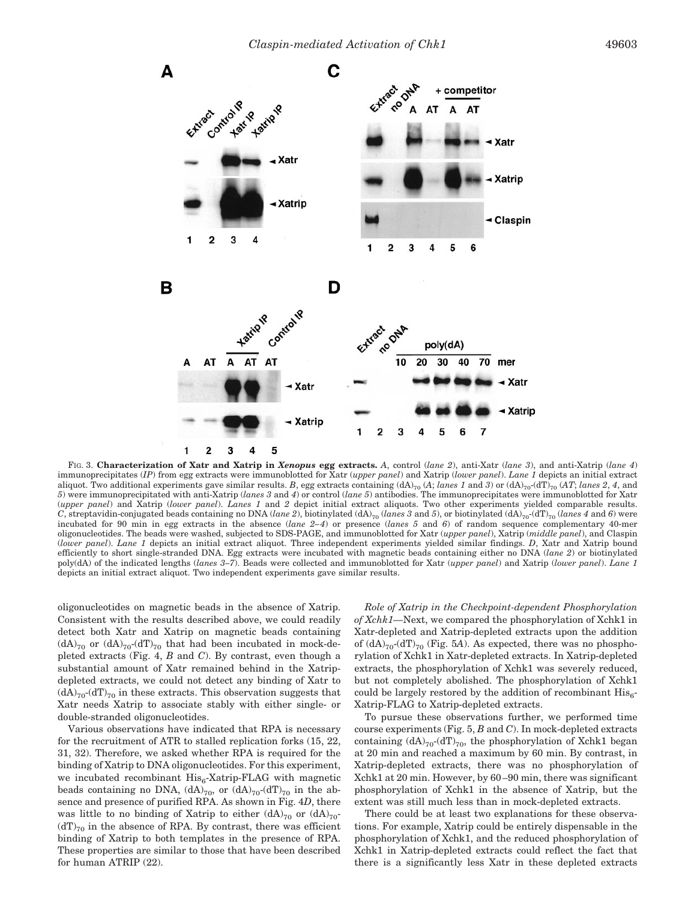

FIG. 3. **Characterization of Xatr and Xatrip in** *Xenopus* **egg extracts.** *A*, control (*lane 2*), anti-Xatr (*lane 3*), and anti-Xatrip (*lane 4*) immunoprecipitates (*IP*) from egg extracts were immunoblotted for Xatr (*upper panel*) and Xatrip (*lower panel*). *Lane 1* depicts an initial extract aliquot. Two additional experiments gave similar results. B, egg extracts containing  $(dA)_{70}$   $(A)$ ; *lanes 1* and *3*) or  $(dA)_{70}$  $(dT)_{70}$   $(AT)$ ; *lanes 2*, *4*, and *5*) were immunoprecipitated with anti-Xatrip (*lanes 3* and *4*) or control (*lane 5*) antibodies. The immunoprecipitates were immunoblotted for Xatr (*upper panel*) and Xatrip (*lower panel*). *Lanes 1* and *2* depict initial extract aliquots. Two other experiments yielded comparable results. *C*, streptavidin-conjugated beads containing no DNA (*lane 2*), biotinylated (dA)<sub>70</sub> (*lanes 3* and *5*), or biotinylated (dA)<sub>70</sub> (*lanes 4* and *6*) were incubated for 90 min in egg extracts in the absence (*lane 2– 4*) or presence (*lanes 5* and *6*) of random sequence complementary 40-mer oligonucleotides. The beads were washed, subjected to SDS-PAGE, and immunoblotted for Xatr (*upper panel*), Xatrip (*middle panel*), and Claspin (*lower panel*). *Lane 1* depicts an initial extract aliquot. Three independent experiments yielded similar findings. *D*, Xatr and Xatrip bound efficiently to short single-stranded DNA. Egg extracts were incubated with magnetic beads containing either no DNA (*lane 2*) or biotinylated poly(dA) of the indicated lengths (*lanes 3–7*). Beads were collected and immunoblotted for Xatr (*upper panel*) and Xatrip (*lower panel*). *Lane 1* depicts an initial extract aliquot. Two independent experiments gave similar results.

oligonucleotides on magnetic beads in the absence of Xatrip. Consistent with the results described above, we could readily detect both Xatr and Xatrip on magnetic beads containing  $(dA)_{70}$  or  $(dA)_{70}$ - $(dT)_{70}$  that had been incubated in mock-depleted extracts (Fig. 4, *B* and *C*). By contrast, even though a substantial amount of Xatr remained behind in the Xatripdepleted extracts, we could not detect any binding of Xatr to  $(dA)_{70}$ - $(dT)_{70}$  in these extracts. This observation suggests that Xatr needs Xatrip to associate stably with either single- or double-stranded oligonucleotides.

Various observations have indicated that RPA is necessary for the recruitment of ATR to stalled replication forks (15, 22, 31, 32). Therefore, we asked whether RPA is required for the binding of Xatrip to DNA oligonucleotides. For this experiment, we incubated recombinant  $His<sub>6</sub>-Xatrip-FLAG$  with magnetic beads containing no DNA,  $(dA)_{70}$ , or  $(dA)_{70}$ - $(dT)_{70}$  in the absence and presence of purified RPA. As shown in Fig. 4*D*, there was little to no binding of Xatrip to either  $(dA)_{70}$  or  $(dA)_{70}$  $(dT)_{70}$  in the absence of RPA. By contrast, there was efficient binding of Xatrip to both templates in the presence of RPA. These properties are similar to those that have been described for human ATRIP (22).

*Role of Xatrip in the Checkpoint-dependent Phosphorylation of Xchk1—*Next, we compared the phosphorylation of Xchk1 in Xatr-depleted and Xatrip-depleted extracts upon the addition of  $(dA)_{70}$ - $(dT)_{70}$  (Fig. 5A). As expected, there was no phosphorylation of Xchk1 in Xatr-depleted extracts. In Xatrip-depleted extracts, the phosphorylation of Xchk1 was severely reduced, but not completely abolished. The phosphorylation of Xchk1 could be largely restored by the addition of recombinant  $His<sub>6</sub>$ -Xatrip-FLAG to Xatrip-depleted extracts.

To pursue these observations further, we performed time course experiments (Fig. 5, *B* and *C*). In mock-depleted extracts containing  $(dA)_{70}$ - $(dT)_{70}$ , the phosphorylation of Xchk1 began at 20 min and reached a maximum by 60 min. By contrast, in Xatrip-depleted extracts, there was no phosphorylation of Xchk1 at 20 min. However, by 60 –90 min, there was significant phosphorylation of Xchk1 in the absence of Xatrip, but the extent was still much less than in mock-depleted extracts.

There could be at least two explanations for these observations. For example, Xatrip could be entirely dispensable in the phosphorylation of Xchk1, and the reduced phosphorylation of Xchk1 in Xatrip-depleted extracts could reflect the fact that there is a significantly less Xatr in these depleted extracts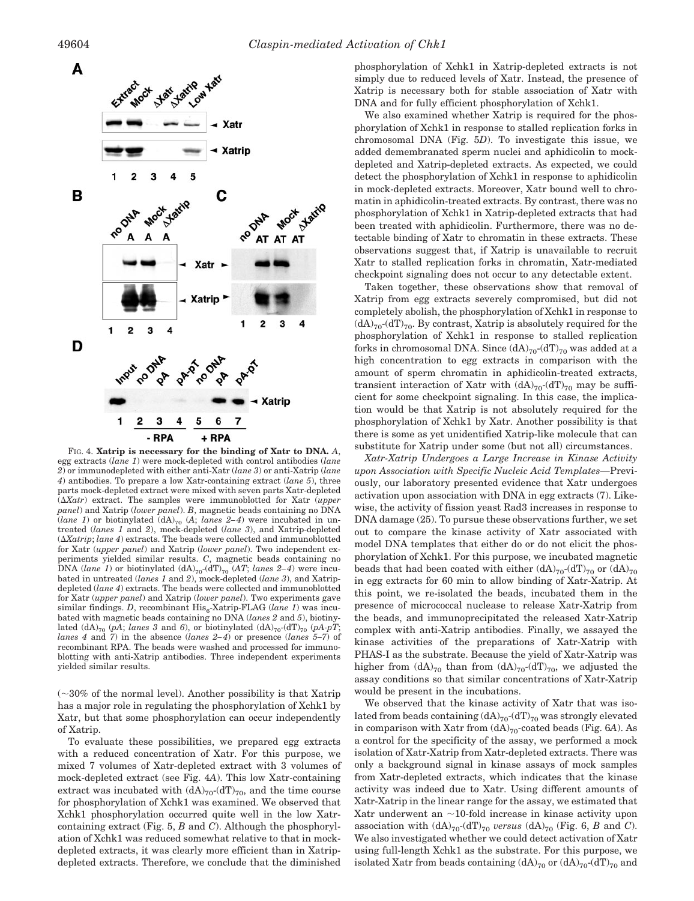

FIG. 4. **Xatrip is necessary for the binding of Xatr to DNA.** *A*, egg extracts (*lane 1*) were mock-depleted with control antibodies (*lane 2*) or immunodepleted with either anti-Xatr (*lane 3*) or anti-Xatrip (*lane 4*) antibodies. To prepare a low Xatr-containing extract (*lane 5*), three parts mock-depleted extract were mixed with seven parts Xatr-depleted (*Xatr*) extract. The samples were immunoblotted for Xatr (*upper panel*) and Xatrip (*lower panel*). *B*, magnetic beads containing no DNA (*lane 1*) or biotinylated (dA)<sub>70</sub> (A; *lanes 2-4*) were incubated in untreated (*lanes 1* and *2*), mock-depleted (*lane 3*), and Xatrip-depleted (*Xatrip*; *lane 4*) extracts. The beads were collected and immunoblotted for Xatr (*upper panel*) and Xatrip (*lower panel*). Two independent experiments yielded similar results. *C*, magnetic beads containing no DNA (*lane 1*) or biotinylated  $(dA)_{70}$ - $(dT)_{70}$  (*AT*; *lanes 2–4*) were incubated in untreated (*lanes 1* and *2*), mock-depleted (*lane 3*), and Xatripdepleted (*lane 4*) extracts. The beads were collected and immunoblotted for Xatr (*upper panel*) and Xatrip (*lower panel*). Two experiments gave similar findings. *D*, recombinant His<sub>6</sub>-Xatrip-FLAG (lane 1) was incubated with magnetic beads containing no DNA (*lanes 2* and *5*), biotinylated  $(dA)_{70}$  (*pA*; *lanes 3* and 6), or biotinylated  $(dA)_{70}$ - $(dT)_{70}$  (*pA-pT*; *lanes 4* and *7*) in the absence (*lanes 2– 4*) or presence (*lanes 5–7*) of recombinant RPA. The beads were washed and processed for immunoblotting with anti-Xatrip antibodies. Three independent experiments yielded similar results.

 $(\sim]30\%$  of the normal level). Another possibility is that Xatrip has a major role in regulating the phosphorylation of Xchk1 by Xatr, but that some phosphorylation can occur independently of Xatrip.

To evaluate these possibilities, we prepared egg extracts with a reduced concentration of Xatr. For this purpose, we mixed 7 volumes of Xatr-depleted extract with 3 volumes of mock-depleted extract (see Fig. 4*A*). This low Xatr-containing extract was incubated with  $(dA)_{70}$ - $(dT)_{70}$ , and the time course for phosphorylation of Xchk1 was examined. We observed that Xchk1 phosphorylation occurred quite well in the low Xatrcontaining extract (Fig. 5, *B* and *C*). Although the phosphorylation of Xchk1 was reduced somewhat relative to that in mockdepleted extracts, it was clearly more efficient than in Xatripdepleted extracts. Therefore, we conclude that the diminished

phosphorylation of Xchk1 in Xatrip-depleted extracts is not simply due to reduced levels of Xatr. Instead, the presence of Xatrip is necessary both for stable association of Xatr with DNA and for fully efficient phosphorylation of Xchk1.

We also examined whether Xatrip is required for the phosphorylation of Xchk1 in response to stalled replication forks in chromosomal DNA (Fig. 5*D*). To investigate this issue, we added demembranated sperm nuclei and aphidicolin to mockdepleted and Xatrip-depleted extracts. As expected, we could detect the phosphorylation of Xchk1 in response to aphidicolin in mock-depleted extracts. Moreover, Xatr bound well to chromatin in aphidicolin-treated extracts. By contrast, there was no phosphorylation of Xchk1 in Xatrip-depleted extracts that had been treated with aphidicolin. Furthermore, there was no detectable binding of Xatr to chromatin in these extracts. These observations suggest that, if Xatrip is unavailable to recruit Xatr to stalled replication forks in chromatin, Xatr-mediated checkpoint signaling does not occur to any detectable extent.

Taken together, these observations show that removal of Xatrip from egg extracts severely compromised, but did not completely abolish, the phosphorylation of Xchk1 in response to  $(dA)_{70}$ - $(dT)_{70}$ . By contrast, Xatrip is absolutely required for the phosphorylation of Xchk1 in response to stalled replication forks in chromosomal DNA. Since  $(dA)_{70}$ - $(dT)_{70}$  was added at a high concentration to egg extracts in comparison with the amount of sperm chromatin in aphidicolin-treated extracts, transient interaction of Xatr with  $(dA)_{70}$ - $(dT)_{70}$  may be sufficient for some checkpoint signaling. In this case, the implication would be that Xatrip is not absolutely required for the phosphorylation of Xchk1 by Xatr. Another possibility is that there is some as yet unidentified Xatrip-like molecule that can substitute for Xatrip under some (but not all) circumstances.

*Xatr-Xatrip Undergoes a Large Increase in Kinase Activity upon Association with Specific Nucleic Acid Templates—*Previously, our laboratory presented evidence that Xatr undergoes activation upon association with DNA in egg extracts (7). Likewise, the activity of fission yeast Rad3 increases in response to DNA damage (25). To pursue these observations further, we set out to compare the kinase activity of Xatr associated with model DNA templates that either do or do not elicit the phosphorylation of Xchk1. For this purpose, we incubated magnetic beads that had been coated with either  $(dA)_{70}$ -(dT)<sub>70</sub> or  $(dA)_{70}$ in egg extracts for 60 min to allow binding of Xatr-Xatrip. At this point, we re-isolated the beads, incubated them in the presence of micrococcal nuclease to release Xatr-Xatrip from the beads, and immunoprecipitated the released Xatr-Xatrip complex with anti-Xatrip antibodies. Finally, we assayed the kinase activities of the preparations of Xatr-Xatrip with PHAS-I as the substrate. Because the yield of Xatr-Xatrip was higher from  $(dA)_{70}$  than from  $(dA)_{70}$ - $(dT)_{70}$ , we adjusted the assay conditions so that similar concentrations of Xatr-Xatrip would be present in the incubations.

We observed that the kinase activity of Xatr that was isolated from beads containing  $(dA)_{70}$ - $(dT)_{70}$  was strongly elevated in comparison with Xatr from  $(dA)_{70}$ -coated beads (Fig. 6*A*). As a control for the specificity of the assay, we performed a mock isolation of Xatr-Xatrip from Xatr-depleted extracts. There was only a background signal in kinase assays of mock samples from Xatr-depleted extracts, which indicates that the kinase activity was indeed due to Xatr. Using different amounts of Xatr-Xatrip in the linear range for the assay, we estimated that Xatr underwent an  $\sim$ 10-fold increase in kinase activity upon association with  $(dA)_{70}$ - $(dT)_{70}$  *versus*  $(dA)_{70}$  (Fig. 6, *B* and *C*). We also investigated whether we could detect activation of Xatr using full-length Xchk1 as the substrate. For this purpose, we isolated Xatr from beads containing  $(dA)_{70}$  or  $(dA)_{70}$ - $(dT)_{70}$  and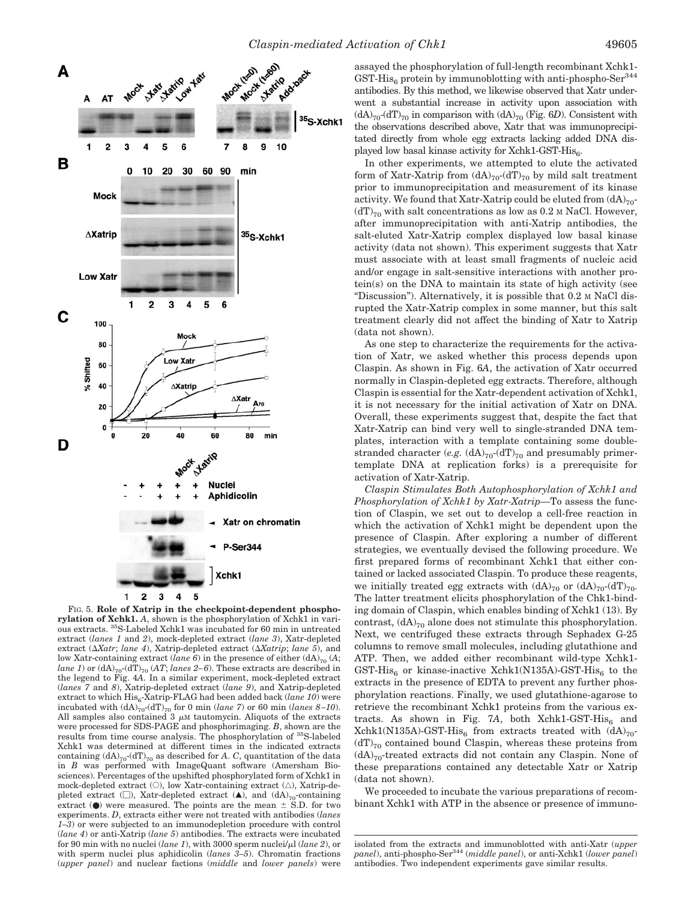

FIG. 5. **Role of Xatrip in the checkpoint-dependent phosphorylation of Xchk1.** *A*, shown is the phosphorylation of Xchk1 in various extracts. 35S-Labeled Xchk1 was incubated for 60 min in untreated extract (*lanes 1* and *2*), mock-depleted extract (*lane 3*), Xatr-depleted extract ( $\Delta X$ atr; *lane 4*), Xatrip-depleted extract ( $\Delta X$ atrip; *lane 5*), and low Xatr-containing extract (*lane 6*) in the presence of either (dA)<sub>70</sub> (A; *lane 1*) or  $(dA)_{70}$ - $(dT)_{70}$   $(AT)$ ; *lanes 2–6*). These extracts are described in the legend to Fig. 4*A*. In a similar experiment, mock-depleted extract (*lanes 7* and *8*), Xatrip-depleted extract (*lane 9*), and Xatrip-depleted extract to which  $\mathrm{His}_6\text{-}{\rm Xatrip\text{-}FLAG}$  had been added back  ${(\mathit{lane}\ \mathit{10})}$  were incubated with  $(dA)_{70}$ - $(dT)_{70}$  for 0 min (*lane 7*) or 60 min (*lanes 8–10*). All samples also contained  $3 \mu$ M tautomycin. Aliquots of the extracts were processed for SDS-PAGE and phosphorimaging. *B*, shown are the results from time course analysis. The phosphorylation of 35S-labeled Xchk1 was determined at different times in the indicated extracts containing  $(dA)_{70}$ - $(dT)_{70}$  as described for *A*. *C*, quantitation of the data in *B* was performed with ImageQuant software (Amersham Biosciences). Percentages of the upshifted phosphorylated form of Xchk1 in mock-depleted extract  $(O)$ , low Xatr-containing extract  $(\triangle)$ , Xatrip-depleted extract ( $\square$ ), Xatr-depleted extract ( $\blacktriangle$ ), and (dA)<sub>70</sub>-containing extract  $(\bullet)$  were measured. The points are the mean  $\pm$  S.D. for two experiments. *D*, extracts either were not treated with antibodies (*lanes 1–3*) or were subjected to an immunodepletion procedure with control (*lane 4*) or anti-Xatrip (*lane 5*) antibodies. The extracts were incubated for 90 min with no nuclei (*lane 1*), with 3000 sperm nuclei/ $\mu$ l (*lane 2*), or with sperm nuclei plus aphidicolin (*lanes 3–5*). Chromatin fractions (*upper panel*) and nuclear factions (*middle* and *lower panels*) were

assayed the phosphorylation of full-length recombinant Xchk1-  $GST-His<sub>6</sub>$  protein by immunoblotting with anti-phospho-Ser $^{344}$ antibodies. By this method, we likewise observed that Xatr underwent a substantial increase in activity upon association with  $(dA)_{70}$ - $(dT)_{70}$  in comparison with  $(dA)_{70}$  (Fig. 6*D*). Consistent with the observations described above, Xatr that was immunoprecipitated directly from whole egg extracts lacking added DNA displayed low basal kinase activity for Xchk1-GST- $His<sub>6</sub>$ .

In other experiments, we attempted to elute the activated form of Xatr-Xatrip from  $(dA)_{70}$ - $(dT)_{70}$  by mild salt treatment prior to immunoprecipitation and measurement of its kinase activity. We found that Xatr-Xatrip could be eluted from  $(dA)_{70}$ - $(dT)_{70}$  with salt concentrations as low as 0.2 M NaCl. However, after immunoprecipitation with anti-Xatrip antibodies, the salt-eluted Xatr-Xatrip complex displayed low basal kinase activity (data not shown). This experiment suggests that Xatr must associate with at least small fragments of nucleic acid and/or engage in salt-sensitive interactions with another protein(s) on the DNA to maintain its state of high activity (see "Discussion"). Alternatively, it is possible that 0.2 M NaCl disrupted the Xatr-Xatrip complex in some manner, but this salt treatment clearly did not affect the binding of Xatr to Xatrip (data not shown).

As one step to characterize the requirements for the activation of Xatr, we asked whether this process depends upon Claspin. As shown in Fig. 6*A*, the activation of Xatr occurred normally in Claspin-depleted egg extracts. Therefore, although Claspin is essential for the Xatr-dependent activation of Xchk1, it is not necessary for the initial activation of Xatr on DNA. Overall, these experiments suggest that, despite the fact that Xatr-Xatrip can bind very well to single-stranded DNA templates, interaction with a template containing some doublestranded character (*e.g.*  $(dA)_{70}$ - $(dT)_{70}$  and presumably primertemplate DNA at replication forks) is a prerequisite for activation of Xatr-Xatrip.

*Claspin Stimulates Both Autophosphorylation of Xchk1 and Phosphorylation of Xchk1 by Xatr-Xatrip—*To assess the function of Claspin, we set out to develop a cell-free reaction in which the activation of Xchk1 might be dependent upon the presence of Claspin. After exploring a number of different strategies, we eventually devised the following procedure. We first prepared forms of recombinant Xchk1 that either contained or lacked associated Claspin. To produce these reagents, we initially treated egg extracts with  $(dA)_{70}$  or  $(dA)_{70}$ - $(dT)_{70}$ . The latter treatment elicits phosphorylation of the Chk1-binding domain of Claspin, which enables binding of Xchk1 (13). By contrast,  $(dA)_{70}$  alone does not stimulate this phosphorylation. Next, we centrifuged these extracts through Sephadex G-25 columns to remove small molecules, including glutathione and ATP. Then, we added either recombinant wild-type Xchk1- GST-His<sub>6</sub> or kinase-inactive Xchk1(N135A)-GST-His<sub>6</sub> to the extracts in the presence of EDTA to prevent any further phosphorylation reactions. Finally, we used glutathione-agarose to retrieve the recombinant Xchk1 proteins from the various extracts. As shown in Fig. 7A, both Xchk1-GST-His $_6$  and  $Xchk1(N135A)$ -GST-His<sub>6</sub> from extracts treated with  $(dA)_{70}$ - $(dT)_{70}$  contained bound Claspin, whereas these proteins from  $(dA)_{70}$ -treated extracts did not contain any Claspin. None of these preparations contained any detectable Xatr or Xatrip (data not shown).

We proceeded to incubate the various preparations of recombinant Xchk1 with ATP in the absence or presence of immuno-

isolated from the extracts and immunoblotted with anti-Xatr (*upper panel*), anti-phospho-Ser<sup>344</sup> (*middle panel*), or anti-Xchk1 (*lower panel*) antibodies. Two independent experiments gave similar results.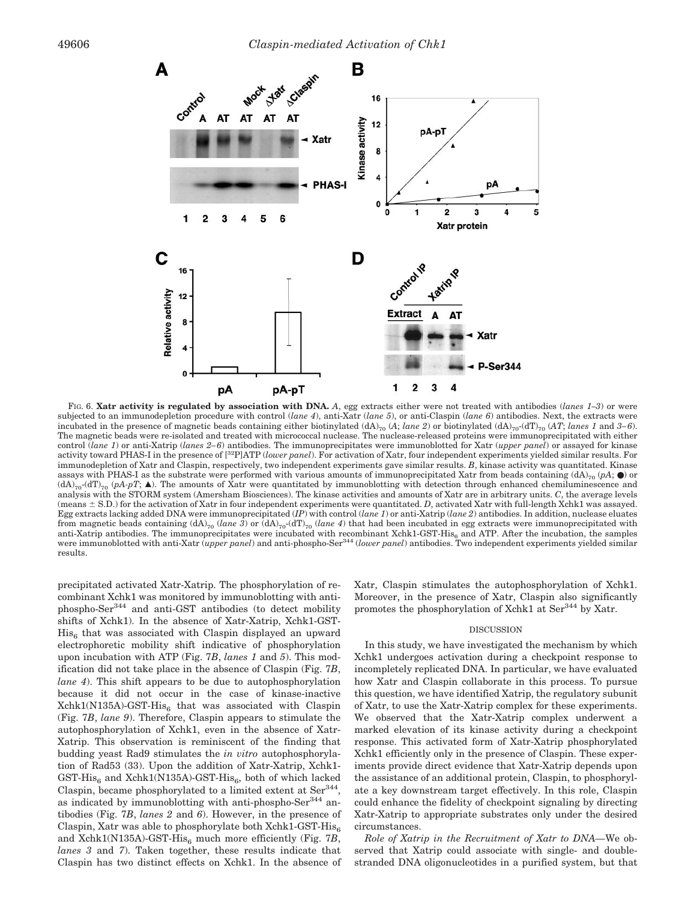

FIG. 6. **Xatr activity is regulated by association with DNA.** *A*, egg extracts either were not treated with antibodies (*lanes 1–3*) or were subjected to an immunodepletion procedure with control (*lane 4*), anti-Xatr (*lane 5*), or anti-Claspin (*lane 6*) antibodies. Next, the extracts were incubated in the presence of magnetic beads containing either biotinylated  $(dA)_{70}$  (*A*; *lane 2*) or biotinylated  $(dA)_{70}$ -( $dT$ )<sub>70</sub> (*AT*; *lanes 1* and *3–6*). The magnetic beads were re-isolated and treated with micrococcal nuclease. The nuclease-released proteins were immunoprecipitated with either control (*lane 1*) or anti-Xatrip (*lanes 2– 6*) antibodies. The immunoprecipitates were immunoblotted for Xatr (*upper panel*) or assayed for kinase activity toward PHAS-I in the presence of [32P]ATP (*lower panel*). For activation of Xatr, four independent experiments yielded similar results. For immunodepletion of Xatr and Claspin, respectively, two independent experiments gave similar results. *B*, kinase activity was quantitated. Kinase assays with PHAS-I as the substrate were performed with various amounts of immunoprecipitated Xatr from beads containing  $(dA)_{70}$  ( $pA$ ;  $\bullet$ ) or  $(dA)_{70}$ <sup>-</sup>(dT)<sub>70</sub> (pA-pT;  $\blacktriangle$ ). The amounts of Xatr were quantitated by immunoblotting with detection through enhanced chemiluminescence and analysis with the STORM system (Amersham Biosciences). The kinase activities and amounts of Xatr are in arbitrary units. *C*, the average levels (means  $\pm$  S.D.) for the activation of Xatr in four independent experiments were quantitated. *D*, activated Xatr with full-length Xchk1 was assayed. Egg extracts lacking added DNA were immunoprecipitated (*IP*) with control (*lane 1*) or anti-Xatrip (*lane 2*) antibodies. In addition, nuclease eluates from magnetic beads containing  $(dA)_{70}$  (*lane 3*) or  $(dA)_{70}$ -( $dT)_{70}$  *(lane 4*) that had been incubated in egg extracts were immunoprecipitated with anti-Xatrip antibodies. The immunoprecipitates were incubated with recombinant Xchk1-GST-His<sub>6</sub> and ATP. After the incubation, the samples were immunoblotted with anti-Xatr (*upper panel*) and anti-phospho-Ser<sup>344</sup> (lower panel) antibodies. Two independent experiments yielded similar results.

precipitated activated Xatr-Xatrip. The phosphorylation of recombinant Xchk1 was monitored by immunoblotting with antiphospho-Ser344 and anti-GST antibodies (to detect mobility shifts of Xchk1). In the absence of Xatr-Xatrip, Xchk1-GST- $His<sub>6</sub>$  that was associated with Claspin displayed an upward electrophoretic mobility shift indicative of phosphorylation upon incubation with ATP (Fig. 7*B*, *lanes 1* and *5*). This modification did not take place in the absence of Claspin (Fig. 7*B*, *lane 4*). This shift appears to be due to autophosphorylation because it did not occur in the case of kinase-inactive  $Xchk1(N135A)-GST-His<sub>6</sub>$  that was associated with Claspin (Fig. 7*B*, *lane 9*). Therefore, Claspin appears to stimulate the autophosphorylation of Xchk1, even in the absence of Xatr-Xatrip. This observation is reminiscent of the finding that budding yeast Rad9 stimulates the *in vitro* autophosphorylation of Rad53 (33). Upon the addition of Xatr-Xatrip, Xchk1- GST-His<sub>6</sub> and Xchk1(N135A)-GST-His<sub>6</sub>, both of which lacked Claspin, became phosphorylated to a limited extent at Ser<sup>344</sup>, as indicated by immunoblotting with anti-phospho- $\text{Ser}^{344}$  antibodies (Fig. 7*B*, *lanes 2* and *6*). However, in the presence of Claspin, Xatr was able to phosphorylate both Xchk1-GST-His $_6$ and Xchk1(N135A)-GST-His $_6$  much more efficiently (Fig. 7*B*, *lanes 3* and *7*). Taken together, these results indicate that Claspin has two distinct effects on Xchk1. In the absence of Xatr, Claspin stimulates the autophosphorylation of Xchk1. Moreover, in the presence of Xatr, Claspin also significantly promotes the phosphorylation of Xchk1 at Ser<sup>344</sup> by Xatr.

### DISCUSSION

In this study, we have investigated the mechanism by which Xchk1 undergoes activation during a checkpoint response to incompletely replicated DNA. In particular, we have evaluated how Xatr and Claspin collaborate in this process. To pursue this question, we have identified Xatrip, the regulatory subunit of Xatr, to use the Xatr-Xatrip complex for these experiments. We observed that the Xatr-Xatrip complex underwent a marked elevation of its kinase activity during a checkpoint response. This activated form of Xatr-Xatrip phosphorylated Xchk1 efficiently only in the presence of Claspin. These experiments provide direct evidence that Xatr-Xatrip depends upon the assistance of an additional protein, Claspin, to phosphorylate a key downstream target effectively. In this role, Claspin could enhance the fidelity of checkpoint signaling by directing Xatr-Xatrip to appropriate substrates only under the desired circumstances.

*Role of Xatrip in the Recruitment of Xatr to DNA—*We observed that Xatrip could associate with single- and doublestranded DNA oligonucleotides in a purified system, but that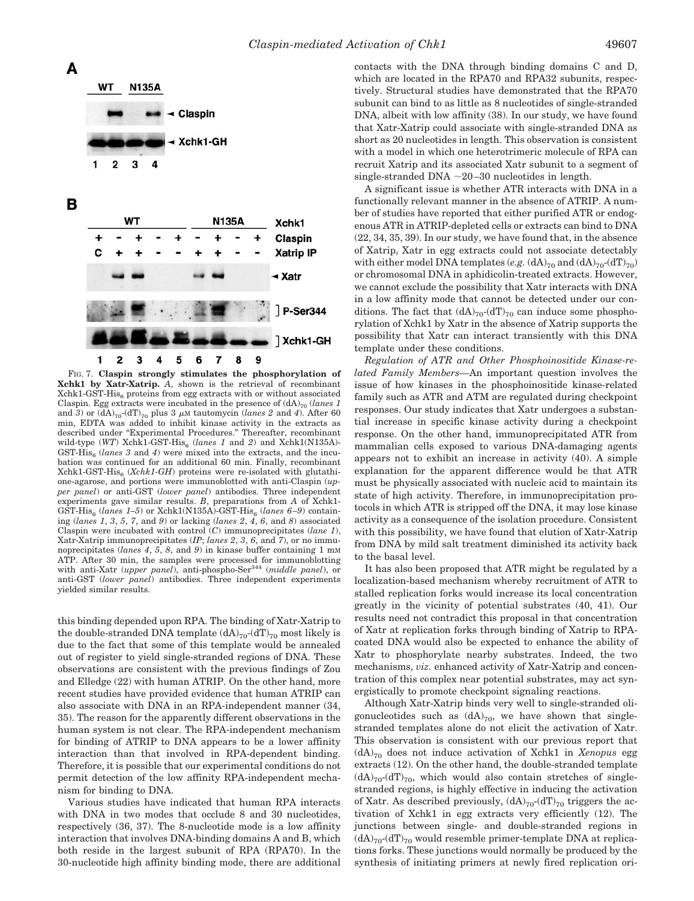

FIG. 7. **Claspin strongly stimulates the phosphorylation of Xchk1 by Xatr-Xatrip.** *A*, shown is the retrieval of recombinant  $Xchk1-GST-His<sub>6</sub>$  proteins from egg extracts with or without associated Claspin. Egg extracts were incubated in the presence of  $(dA)_{70}$  (*lanes 1*) and 3) or  $(dA)_{70}$ - $(dT)_{70}$  plus 3  $\mu$ M tautomycin (*lanes* 2 and 4). After 60 min, EDTA was added to inhibit kinase activity in the extracts as described under "Experimental Procedures." Thereafter, recombinant wild-type (WT) Xchk1-GST-His<sub>6</sub> (lanes 1 and 2) and Xchk1(N135A)-GST-His<sub>6</sub> (*lanes 3* and 4) were mixed into the extracts, and the incubation was continued for an additional 60 min. Finally, recombinant Xchk1-GST-His6 (*Xchk1-GH*) proteins were re-isolated with glutathione-agarose, and portions were immunoblotted with anti-Claspin (*upper panel*) or anti-GST (*lower panel*) antibodies. Three independent experiments gave similar results. *B*, preparations from *A* of Xchk1- GST-His<sub>6</sub> (*lanes 1–5*) or Xchk1(N135A)-GST-His<sub>6</sub> (*lanes 6–9*) containing (*lanes 1*, *3*, *5*, *7*, and *9*) or lacking (*lanes 2*, *4*, *6*, and *8*) associated Claspin were incubated with control (*C*) immunoprecipitates (*lane 1*), Xatr-Xatrip immunoprecipitates (*IP*; *lanes 2*, *3*, *6*, and *7*), or no immunoprecipitates (*lanes 4*, *5*, *8*, and *9*) in kinase buffer containing 1 mM ATP. After 30 min, the samples were processed for immunoblotting with anti-Xatr (*upper panel*), anti-phospho-Ser344 (*middle panel*), or anti-GST (*lower panel*) antibodies. Three independent experiments yielded similar results.

this binding depended upon RPA. The binding of Xatr-Xatrip to the double-stranded DNA template  $(dA)_{70}$ - $(dT)_{70}$  most likely is due to the fact that some of this template would be annealed out of register to yield single-stranded regions of DNA. These observations are consistent with the previous findings of Zou and Elledge (22) with human ATRIP. On the other hand, more recent studies have provided evidence that human ATRIP can also associate with DNA in an RPA-independent manner (34, 35). The reason for the apparently different observations in the human system is not clear. The RPA-independent mechanism for binding of ATRIP to DNA appears to be a lower affinity interaction than that involved in RPA-dependent binding. Therefore, it is possible that our experimental conditions do not permit detection of the low affinity RPA-independent mechanism for binding to DNA.

Various studies have indicated that human RPA interacts with DNA in two modes that occlude 8 and 30 nucleotides, respectively (36, 37). The 8-nucleotide mode is a low affinity interaction that involves DNA-binding domains A and B, which both reside in the largest subunit of RPA (RPA70). In the 30-nucleotide high affinity binding mode, there are additional contacts with the DNA through binding domains C and D, which are located in the RPA70 and RPA32 subunits, respectively. Structural studies have demonstrated that the RPA70 subunit can bind to as little as 8 nucleotides of single-stranded DNA, albeit with low affinity (38). In our study, we have found that Xatr-Xatrip could associate with single-stranded DNA as short as 20 nucleotides in length. This observation is consistent with a model in which one heterotrimeric molecule of RPA can recruit Xatrip and its associated Xatr subunit to a segment of single-stranded DNA  $\sim$ 20-30 nucleotides in length.

A significant issue is whether ATR interacts with DNA in a functionally relevant manner in the absence of ATRIP. A number of studies have reported that either purified ATR or endogenous ATR in ATRIP-depleted cells or extracts can bind to DNA (22, 34, 35, 39). In our study, we have found that, in the absence of Xatrip, Xatr in egg extracts could not associate detectably with either model DNA templates (*e.g.*  $(dA)_{70}$  and  $(dA)_{70}$ - $(dT)_{70}$ ) or chromosomal DNA in aphidicolin-treated extracts. However, we cannot exclude the possibility that Xatr interacts with DNA in a low affinity mode that cannot be detected under our conditions. The fact that  $(dA)_{70}$ - $(dT)_{70}$  can induce some phosphorylation of Xchk1 by Xatr in the absence of Xatrip supports the possibility that Xatr can interact transiently with this DNA template under these conditions.

*Regulation of ATR and Other Phosphoinositide Kinase-related Family Members—*An important question involves the issue of how kinases in the phosphoinositide kinase-related family such as ATR and ATM are regulated during checkpoint responses. Our study indicates that Xatr undergoes a substantial increase in specific kinase activity during a checkpoint response. On the other hand, immunoprecipitated ATR from mammalian cells exposed to various DNA-damaging agents appears not to exhibit an increase in activity (40). A simple explanation for the apparent difference would be that ATR must be physically associated with nucleic acid to maintain its state of high activity. Therefore, in immunoprecipitation protocols in which ATR is stripped off the DNA, it may lose kinase activity as a consequence of the isolation procedure. Consistent with this possibility, we have found that elution of Xatr-Xatrip from DNA by mild salt treatment diminished its activity back to the basal level.

It has also been proposed that ATR might be regulated by a localization-based mechanism whereby recruitment of ATR to stalled replication forks would increase its local concentration greatly in the vicinity of potential substrates (40, 41). Our results need not contradict this proposal in that concentration of Xatr at replication forks through binding of Xatrip to RPAcoated DNA would also be expected to enhance the ability of Xatr to phosphorylate nearby substrates. Indeed, the two mechanisms, *viz.* enhanced activity of Xatr-Xatrip and concentration of this complex near potential substrates, may act synergistically to promote checkpoint signaling reactions.

Although Xatr-Xatrip binds very well to single-stranded oligonucleotides such as  $(dA)_{70}$ , we have shown that singlestranded templates alone do not elicit the activation of Xatr. This observation is consistent with our previous report that  $(dA)_{70}$  does not induce activation of Xchk1 in *Xenopus* egg extracts (12). On the other hand, the double-stranded template  $(dA)_{70}$ - $(dT)_{70}$ , which would also contain stretches of singlestranded regions, is highly effective in inducing the activation of Xatr. As described previously,  $(dA)_{70}$ - $(dT)_{70}$  triggers the activation of Xchk1 in egg extracts very efficiently (12). The junctions between single- and double-stranded regions in  $(dA)_{70}$ - $(dT)_{70}$  would resemble primer-template DNA at replications forks. These junctions would normally be produced by the synthesis of initiating primers at newly fired replication ori-